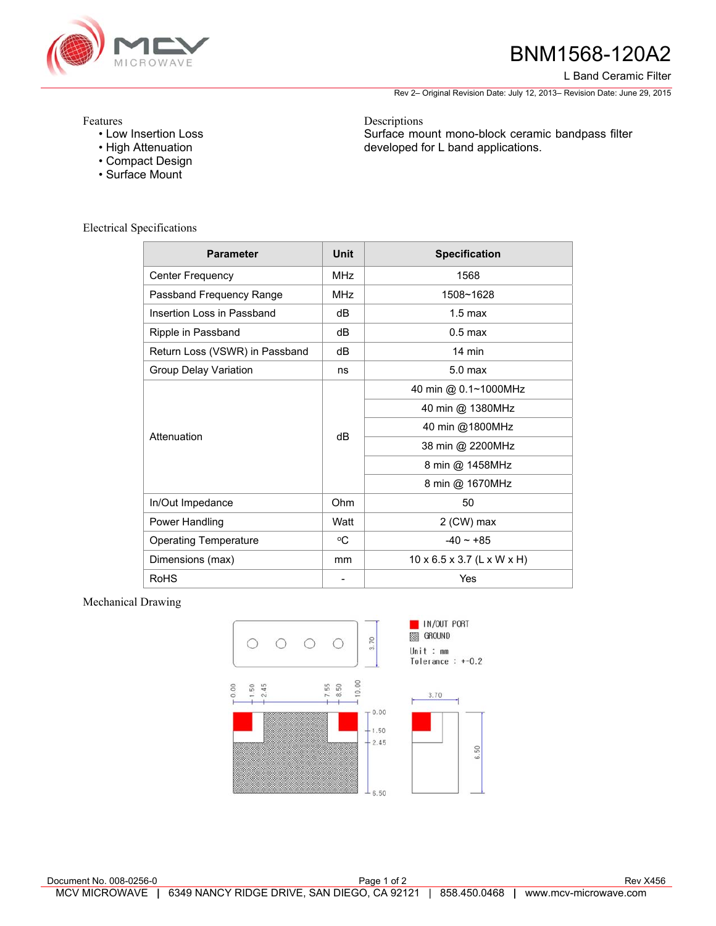

# BNM1568-120A2

L Band Ceramic Filter

Rev 2– Original Revision Date: July 12, 2013– Revision Date: June 29, 2015

Surface mount mono-block ceramic bandpass filter

developed for L band applications.

Features

- Low Insertion Loss
- High Attenuation
- Compact Design
- Surface Mount

Electrical Specifications

| <b>Parameter</b>               | <b>Unit</b>              | <b>Specification</b>                   |
|--------------------------------|--------------------------|----------------------------------------|
| <b>Center Frequency</b>        | <b>MHz</b>               | 1568                                   |
| Passband Frequency Range       | <b>MHz</b>               | 1508~1628                              |
| Insertion Loss in Passband     | dB                       | $1.5 \text{ max}$                      |
| Ripple in Passband             | dB                       | $0.5$ max                              |
| Return Loss (VSWR) in Passband | dB                       | 14 min                                 |
| <b>Group Delay Variation</b>   | ns                       | 5.0 <sub>max</sub>                     |
| Attenuation                    | dB                       | 40 min @ 0.1~1000MHz                   |
|                                |                          | 40 min @ 1380MHz                       |
|                                |                          | 40 min @1800MHz                        |
|                                |                          | 38 min @ 2200MHz                       |
|                                |                          | 8 min @ 1458MHz                        |
|                                |                          | 8 min @ 1670MHz                        |
| In/Out Impedance               | Ohm                      | 50                                     |
| Power Handling                 | Watt                     | 2 (CW) max                             |
| <b>Operating Temperature</b>   | °C                       | $-40 \sim +85$                         |
| Dimensions (max)               | mm                       | $10 \times 6.5 \times 3.7$ (L x W x H) |
| <b>RoHS</b>                    | $\overline{\phantom{a}}$ | Yes                                    |

Descriptions

### Mechanical Drawing



Document No. 008-0256-0 **Page 1 of 2** Rev X456 **Page 1 of 2** Rev X456 MCV MICROWAVE **|** 6349 NANCY RIDGE DRIVE, SAN DIEGO, CA 92121 | 858.450.0468 **|** www.mcv-microwave.com